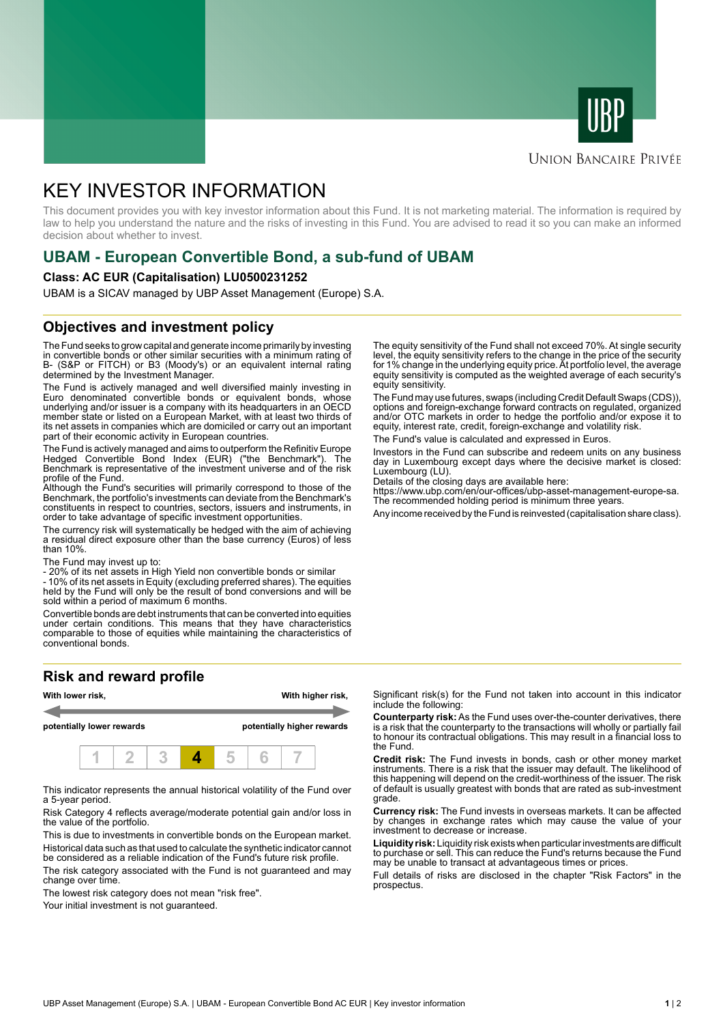



# **UNION BANCAIRE PRIVÉE**

# KEY INVESTOR INFORMATION

This document provides you with key investor information about this Fund. It is not marketing material. The information is required by law to help you understand the nature and the risks of investing in this Fund. You are advised to read it so you can make an informed decision about whether to invest.

# **UBAM - European Convertible Bond, a sub-fund of UBAM**

#### **Class: AC EUR (Capitalisation) LU0500231252**

UBAM is a SICAV managed by UBP Asset Management (Europe) S.A.

## **Objectives and investment policy**

The Fund seeks to grow capital and generate income primarily by investing in convertible bonds or other similar securities with a minimum rating of B- (S&P or FITCH) or B3 (Moody's) or an equivalent internal rating determined by the Investment Manager.

The Fund is actively managed and well diversified mainly investing in Euro denominated convertible bonds or equivalent bonds, whose underlying and/or issuer is a company with its headquarters in an OECD member state or listed on a European Market, with at least two thirds of its net assets in companies which are domiciled or carry out an important part of their economic activity in European countries.

The Fund is actively managed and aims to outperform the Refinitiv Europe Hedged Convertible Bond Index (EUR) ("the Benchmark"). The Benchmark is representative of the investment universe and of the risk profile of the Fund.

Although the Fund's securities will primarily correspond to those of the Benchmark, the portfolio's investments can deviate from the Benchmark's constituents in respect to countries, sectors, issuers and instruments, in order to take advantage of specific investment opportunities.

The currency risk will systematically be hedged with the aim of achieving a residual direct exposure other than the base currency (Euros) of less than 10%.

The Fund may invest up to:

- 20% of its net assets in High Yield non convertible bonds or similar

- 10% of its net assets in Equity (excluding preferred shares). The equities held by the Fund will only be the result of bond conversions and will be sold within a period of maximum 6 months.

Convertible bonds are debt instruments that can be converted into equities under certain conditions. This means that they have characteristics comparable to those of equities while maintaining the characteristics of conventional bonds.

## **Risk and reward profile**



This indicator represents the annual historical volatility of the Fund over a 5-year period.

Risk Category 4 reflects average/moderate potential gain and/or loss in the value of the portfolio.

This is due to investments in convertible bonds on the European market. Historical data such as that used to calculate the synthetic indicator cannot be considered as a reliable indication of the Fund's future risk profile.

The risk category associated with the Fund is not guaranteed and may change over time.

The lowest risk category does not mean "risk free".

Your initial investment is not quaranteed.

The equity sensitivity of the Fund shall not exceed 70%. At single security level, the equity sensitivity refers to the change in the price of the security for 1% change in the underlying equity price. At portfolio level, the average equity sensitivity is computed as the weighted average of each security's equity sensitivity.

The Fund may use futures, swaps (including Credit Default Swaps (CDS)), options and foreign-exchange forward contracts on regulated, organized and/or OTC markets in order to hedge the portfolio and/or expose it to equity, interest rate, credit, foreign-exchange and volatility risk.

The Fund's value is calculated and expressed in Euros.

Investors in the Fund can subscribe and redeem units on any business day in Luxembourg except days where the decisive market is closed: Luxembourg (LU).

Details of the closing days are available here:

https://www.ubp.com/en/our-offices/ubp-asset-management-europe-sa. The recommended holding period is minimum three years.

Any income received by the Fund is reinvested (capitalisation share class).

Significant risk(s) for the Fund not taken into account in this indicator include the following:

**Counterparty risk:** As the Fund uses over-the-counter derivatives, there is a risk that the counterparty to the transactions will wholly or partially fail to honour its contractual obligations. This may result in a financial loss to the Fund.

**Credit risk:** The Fund invests in bonds, cash or other money market instruments. There is a risk that the issuer may default. The likelihood of this happening will depend on the credit-worthiness of the issuer. The risk of default is usually greatest with bonds that are rated as sub-investment grade.

**Currency risk:** The Fund invests in overseas markets. It can be affected by changes in exchange rates which may cause the value of your investment to decrease or increase.

**Liquidity risk:** Liquidity risk exists when particular investments are difficult to purchase or sell. This can reduce the Fund's returns because the Fund may be unable to transact at advantageous times or prices.

Full details of risks are disclosed in the chapter "Risk Factors" in the prospectus.